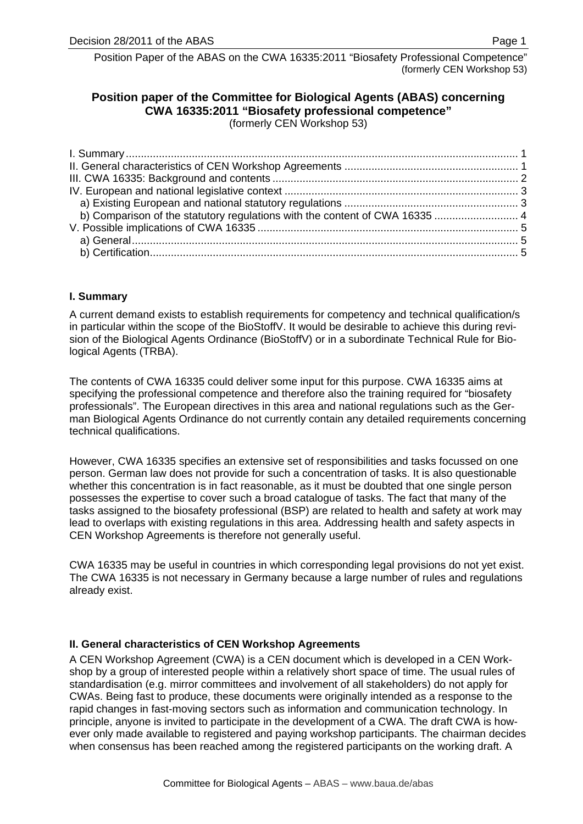# <span id="page-0-0"></span>**Position paper of the Committee for Biological Agents (ABAS) concerning CWA 16335:2011 "Biosafety professional competence"**

(formerly CEN Workshop 53)

# **I. Summary**

A current demand exists to establish requirements for competency and technical qualification/s in particular within the scope of the BioStoffV. It would be desirable to achieve this during revision of the Biological Agents Ordinance (BioStoffV) or in a subordinate Technical Rule for Biological Agents (TRBA).

The contents of CWA 16335 could deliver some input for this purpose. CWA 16335 aims at specifying the professional competence and therefore also the training required for "biosafety professionals". The European directives in this area and national regulations such as the German Biological Agents Ordinance do not currently contain any detailed requirements concerning technical qualifications.

However, CWA 16335 specifies an extensive set of responsibilities and tasks focussed on one person. German law does not provide for such a concentration of tasks. It is also questionable whether this concentration is in fact reasonable, as it must be doubted that one single person possesses the expertise to cover such a broad catalogue of tasks. The fact that many of the tasks assigned to the biosafety professional (BSP) are related to health and safety at work may lead to overlaps with existing regulations in this area. Addressing health and safety aspects in CEN Workshop Agreements is therefore not generally useful.

CWA 16335 may be useful in countries in which corresponding legal provisions do not yet exist. The CWA 16335 is not necessary in Germany because a large number of rules and regulations already exist.

# **II. General characteristics of CEN Workshop Agreements**

A CEN Workshop Agreement (CWA) is a CEN document which is developed in a CEN Workshop by a group of interested people within a relatively short space of time. The usual rules of standardisation (e.g. mirror committees and involvement of all stakeholders) do not apply for CWAs. Being fast to produce, these documents were originally intended as a response to the rapid changes in fast-moving sectors such as information and communication technology. In principle, anyone is invited to participate in the development of a CWA. The draft CWA is however only made available to registered and paying workshop participants. The chairman decides when consensus has been reached among the registered participants on the working draft. A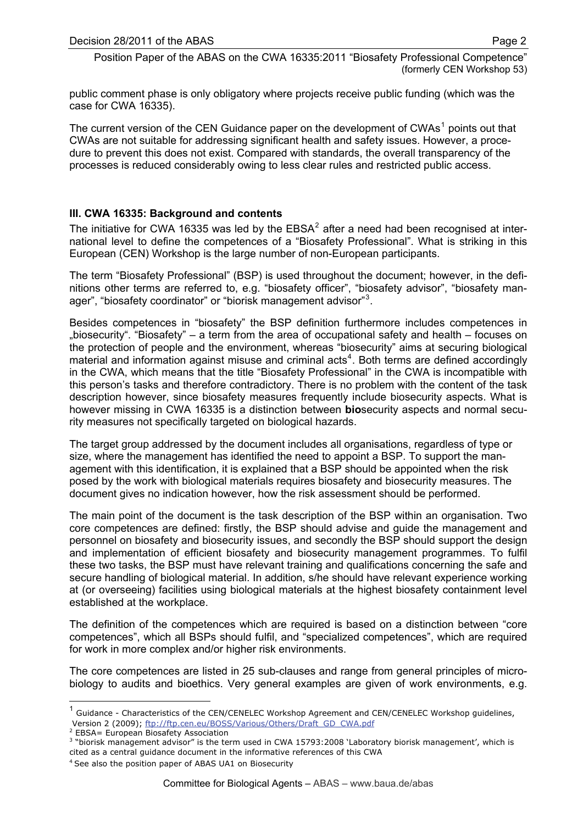<span id="page-1-0"></span>public comment phase is only obligatory where projects receive public funding (which was the case for CWA 16335).

The current version of the CEN Guidance paper on the development of CWAs<sup>[1](#page-1-1)</sup> points out that CWAs are not suitable for addressing significant health and safety issues. However, a procedure to prevent this does not exist. Compared with standards, the overall transparency of the processes is reduced considerably owing to less clear rules and restricted public access.

# **III. CWA 16335: Background and contents**

The initiative for CWA 16335 was led by the EBSA<sup>[2](#page-1-2)</sup> after a need had been recognised at international level to define the competences of a "Biosafety Professional". What is striking in this European (CEN) Workshop is the large number of non-European participants.

The term "Biosafety Professional" (BSP) is used throughout the document; however, in the definitions other terms are referred to, e.g. "biosafety officer", "biosafety advisor", "biosafety man-ager", "biosafety coordinator" or "biorisk management advisor"<sup>[3](#page-1-3)</sup>.

Besides competences in "biosafety" the BSP definition furthermore includes competences in "biosecurity". "Biosafety" – a term from the area of occupational safety and health – focuses on the protection of people and the environment, whereas "biosecurity" aims at securing biological material and information against misuse and criminal  $acts<sup>4</sup>$  $acts<sup>4</sup>$  $acts<sup>4</sup>$ . Both terms are defined accordingly in the CWA, which means that the title "Biosafety Professional" in the CWA is incompatible with this person's tasks and therefore contradictory. There is no problem with the content of the task description however, since biosafety measures frequently include biosecurity aspects. What is however missing in CWA 16335 is a distinction between **bio**security aspects and normal security measures not specifically targeted on biological hazards.

The target group addressed by the document includes all organisations, regardless of type or size, where the management has identified the need to appoint a BSP. To support the management with this identification, it is explained that a BSP should be appointed when the risk posed by the work with biological materials requires biosafety and biosecurity measures. The document gives no indication however, how the risk assessment should be performed.

The main point of the document is the task description of the BSP within an organisation. Two core competences are defined: firstly, the BSP should advise and guide the management and personnel on biosafety and biosecurity issues, and secondly the BSP should support the design and implementation of efficient biosafety and biosecurity management programmes. To fulfil these two tasks, the BSP must have relevant training and qualifications concerning the safe and secure handling of biological material. In addition, s/he should have relevant experience working at (or overseeing) facilities using biological materials at the highest biosafety containment level established at the workplace.

The definition of the competences which are required is based on a distinction between "core competences", which all BSPs should fulfil, and "specialized competences", which are required for work in more complex and/or higher risk environments.

The core competences are listed in 25 sub-clauses and range from general principles of microbiology to audits and bioethics. Very general examples are given of work environments, e.g.

-

<span id="page-1-1"></span>Version 2 (2009); [ftp://ftp.cen.eu/BOSS/Various/Others/Draft\\_GD\\_CWA.pdf](ftp://ftp.cen.eu/BOSS/Various/Others/Draft_GD_CWA.pdf)<br><sup>2</sup> ERSA – European Biosafety Accociation  $1$  Guidance - Characteristics of the CEN/CENELEC Workshop Agreement and CEN/CENELEC Workshop guidelines,

<span id="page-1-2"></span><sup>&</sup>lt;sup>2</sup> EBSA= European Biosafety Association

<span id="page-1-3"></span> 3 "biorisk management advisor" is the term used in CWA 15793:2008 'Laboratory biorisk management', which is cited as a central guidance document in the informative references of this CWA

<span id="page-1-4"></span><sup>4</sup> See also the position paper of ABAS UA1 on Biosecurity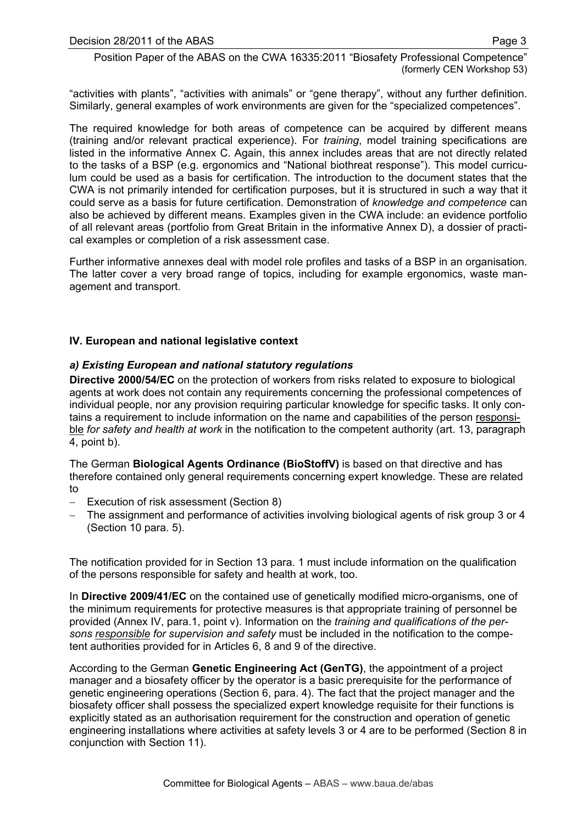<span id="page-2-0"></span>"activities with plants", "activities with animals" or "gene therapy", without any further definition. Similarly, general examples of work environments are given for the "specialized competences".

The required knowledge for both areas of competence can be acquired by different means (training and/or relevant practical experience). For *training*, model training specifications are listed in the informative Annex C. Again, this annex includes areas that are not directly related to the tasks of a BSP (e.g. ergonomics and "National biothreat response"). This model curriculum could be used as a basis for certification. The introduction to the document states that the CWA is not primarily intended for certification purposes, but it is structured in such a way that it could serve as a basis for future certification. Demonstration of *knowledge and competence* can also be achieved by different means. Examples given in the CWA include: an evidence portfolio of all relevant areas (portfolio from Great Britain in the informative Annex D), a dossier of practical examples or completion of a risk assessment case.

Further informative annexes deal with model role profiles and tasks of a BSP in an organisation. The latter cover a very broad range of topics, including for example ergonomics, waste management and transport.

## **IV. European and national legislative context**

#### *a) Existing European and national statutory regulations*

**Directive 2000/54/EC** on the protection of workers from risks related to exposure to biological agents at work does not contain any requirements concerning the professional competences of individual people, nor any provision requiring particular knowledge for specific tasks. It only contains a requirement to include information on the name and capabilities of the person responsible *for safety and health at work* in the notification to the competent authority (art. 13, paragraph 4, point b).

The German **Biological Agents Ordinance (BioStoffV)** is based on that directive and has therefore contained only general requirements concerning expert knowledge. These are related to

- − Execution of risk assessment (Section 8)
- The assignment and performance of activities involving biological agents of risk group 3 or 4 (Section 10 para. 5).

The notification provided for in Section 13 para. 1 must include information on the qualification of the persons responsible for safety and health at work, too.

In **Directive 2009/41/EC** on the contained use of genetically modified micro-organisms, one of the minimum requirements for protective measures is that appropriate training of personnel be provided (Annex IV, para.1, point v). Information on the *training and qualifications of the persons responsible for supervision and safety* must be included in the notification to the competent authorities provided for in Articles 6, 8 and 9 of the directive.

According to the German **Genetic Engineering Act (GenTG)**, the appointment of a project manager and a biosafety officer by the operator is a basic prerequisite for the performance of genetic engineering operations (Section 6, para. 4). The fact that the project manager and the biosafety officer shall possess the specialized expert knowledge requisite for their functions is explicitly stated as an authorisation requirement for the construction and operation of genetic engineering installations where activities at safety levels 3 or 4 are to be performed (Section 8 in conjunction with Section 11).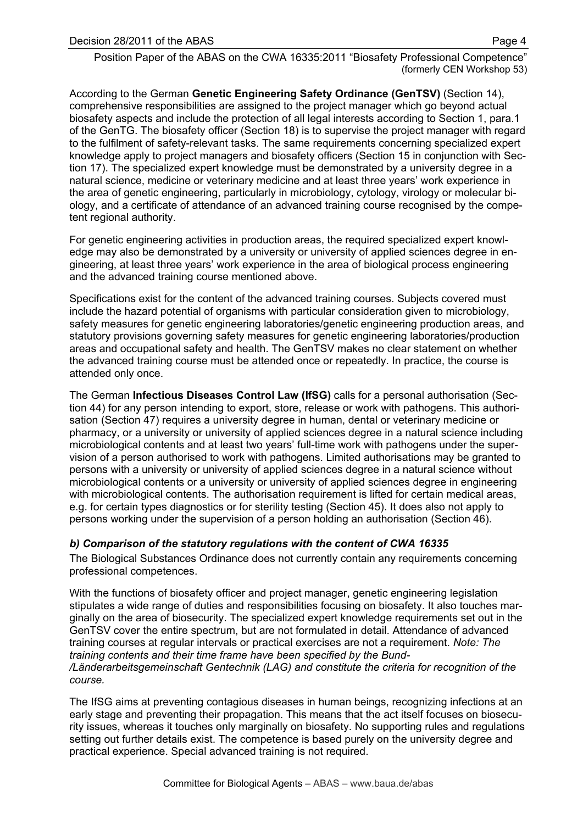<span id="page-3-0"></span>According to the German **Genetic Engineering Safety Ordinance (GenTSV)** (Section 14), comprehensive responsibilities are assigned to the project manager which go beyond actual biosafety aspects and include the protection of all legal interests according to Section 1, para.1 of the GenTG. The biosafety officer (Section 18) is to supervise the project manager with regard to the fulfilment of safety-relevant tasks. The same requirements concerning specialized expert knowledge apply to project managers and biosafety officers (Section 15 in conjunction with Section 17). The specialized expert knowledge must be demonstrated by a university degree in a natural science, medicine or veterinary medicine and at least three years' work experience in the area of genetic engineering, particularly in microbiology, cytology, virology or molecular biology, and a certificate of attendance of an advanced training course recognised by the competent regional authority.

For genetic engineering activities in production areas, the required specialized expert knowledge may also be demonstrated by a university or university of applied sciences degree in engineering, at least three years' work experience in the area of biological process engineering and the advanced training course mentioned above.

Specifications exist for the content of the advanced training courses. Subjects covered must include the hazard potential of organisms with particular consideration given to microbiology, safety measures for genetic engineering laboratories/genetic engineering production areas, and statutory provisions governing safety measures for genetic engineering laboratories/production areas and occupational safety and health. The GenTSV makes no clear statement on whether the advanced training course must be attended once or repeatedly. In practice, the course is attended only once.

The German **Infectious Diseases Control Law (IfSG)** calls for a personal authorisation (Section 44) for any person intending to export, store, release or work with pathogens. This authorisation (Section 47) requires a university degree in human, dental or veterinary medicine or pharmacy, or a university or university of applied sciences degree in a natural science including microbiological contents and at least two years' full-time work with pathogens under the supervision of a person authorised to work with pathogens. Limited authorisations may be granted to persons with a university or university of applied sciences degree in a natural science without microbiological contents or a university or university of applied sciences degree in engineering with microbiological contents. The authorisation requirement is lifted for certain medical areas, e.g. for certain types diagnostics or for sterility testing (Section 45). It does also not apply to persons working under the supervision of a person holding an authorisation (Section 46).

# *b) Comparison of the statutory regulations with the content of CWA 16335*

The Biological Substances Ordinance does not currently contain any requirements concerning professional competences.

With the functions of biosafety officer and project manager, genetic engineering legislation stipulates a wide range of duties and responsibilities focusing on biosafety. It also touches marginally on the area of biosecurity. The specialized expert knowledge requirements set out in the GenTSV cover the entire spectrum, but are not formulated in detail. Attendance of advanced training courses at regular intervals or practical exercises are not a requirement. *Note: The training contents and their time frame have been specified by the Bund /Länderarbeitsgemeinschaft Gentechnik (LAG) and constitute the criteria for recognition of the course.* 

The IfSG aims at preventing contagious diseases in human beings, recognizing infections at an early stage and preventing their propagation. This means that the act itself focuses on biosecurity issues, whereas it touches only marginally on biosafety. No supporting rules and regulations setting out further details exist. The competence is based purely on the university degree and practical experience. Special advanced training is not required.